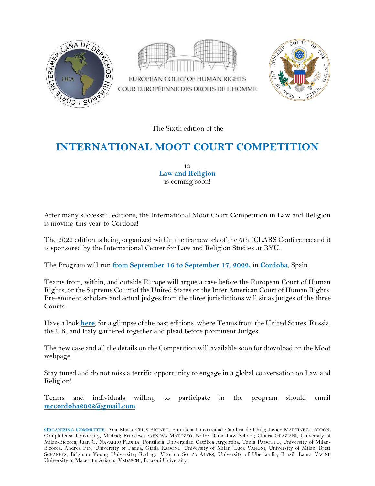



EUROPEAN COURT OF HUMAN RIGHTS COUR EUROPÉENNE DES DROITS DE L'HOMME



The Sixth edition of the

## **INTERNATIONAL MOOT COURT COMPETITION**

in **Law and Religion** is coming soon!

After many successful editions, the International Moot Court Competition in Law and Religion is moving this year to Cordoba!

The 2022 edition is being organized within the framework of the 6th ICLARS Conference and it is sponsored by the International Center for Law and Religion Studies at BYU.

The Program will run **from September 16 to September 17, 2022,** in **Cordoba**, Spain.

Teams from, within, and outside Europe will argue a case before the European Court of Human Rights, or the Supreme Court of the United States or the Inter American Court of Human Rights. Pre-eminent scholars and actual judges from the three jurisdictions will sit as judges of the three Courts.

Have a look **[here](https://www.europeanacademyofreligion.org/moot-court-competition)**, for a glimpse of the past editions, where Teams from the United States, Russia, the UK, and Italy gathered together and plead before prominent Judges.

The new case and all the details on the Competition will available soon for download on the Moot webpage.

Stay tuned and do not miss a terrific opportunity to engage in a global conversation on Law and Religion!

Teams and individuals willing to participate in the program should email **[mccordoba2022@gmail.com](mailto:mccordoba2022@gmail.com)**.

**ORGANIZING COMMITTEE**: Ana María CELIS BRUNET, Pontificia Universidad Católica de Chile; Javier MARTÍNEZ-TORRÓN, Complutense University, Madrid; Francesca GENOVA MATOZZO, Notre Dame Law School; Chiara GRAZIANI, University of Milan-Bicocca; Juan G. NAVARRO FLORIA, Pontificia Universidad Católica Argentina; Tania PAGOTTO, University of Milan-Bicocca; Andrea PIN, University of Padua; Giada RAGONE, University of Milan; Luca VANONI, University of Milan; Brett SCHARFFS, Brigham Young University; Rodrigo Vitorino SOUZA ALVES, University of Uberlandia, Brazil; Laura VAGNI, University of Macerata; Arianna VEDASCHI, Bocconi University.